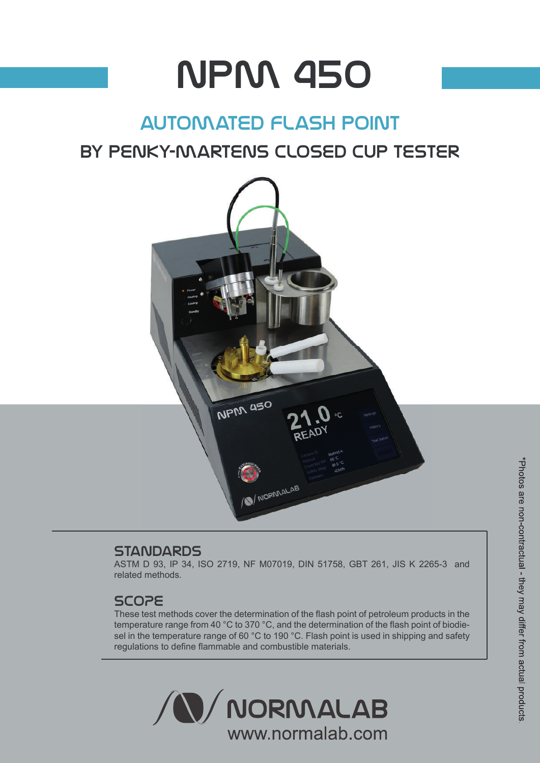# npm 450

## automated flash point

## by penky-martens closed cup tester



#### **STANDARDS**

ASTM D 93, IP 34, ISO 2719, NF M07019, DIN 51758, GBT 261, JIS K 2265-3 and related methods.

#### SCOPE

These test methods cover the determination of the flash point of petroleum products in the temperature range from 40 °C to 370 °C, and the determination of the flash point of biodiesel in the temperature range of 60 °C to 190 °C. Flash point is used in shipping and safety regulations to define flammable and combustible materials.

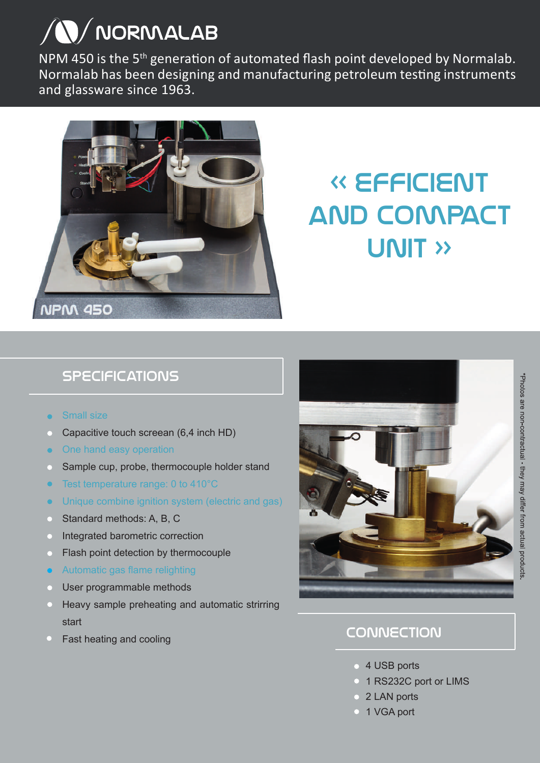## **N/NORMALAB**

NPM 450 is the 5<sup>th</sup> generation of automated flash point developed by Normalab. Normalab has been designing and manufacturing petroleum testing instruments and glassware since 1963.



## « efficient and compact UNIT »

## **SPECIFICATIONS**

- Small size
- Capacitive touch screean (6,4 inch HD)
- One hand easy operation
- Sample cup, probe, thermocouple holder stand
- Test temperature range: 0 to 410°C
- Unique combine ignition system (electric and gas)
- Standard methods: A, B, C
- Integrated barometric correction
- Flash point detection by thermocouple
- Automatic gas flame relighting
- User programmable methods
- Heavy sample preheating and automatic strirring start
- Fast heating and cooling



### **CONNECTION**

- **4 USB ports**
- <sup>o</sup> 1 RS232C port or LIMS
- 2 LAN ports
- <sup>o</sup> 1 VGA port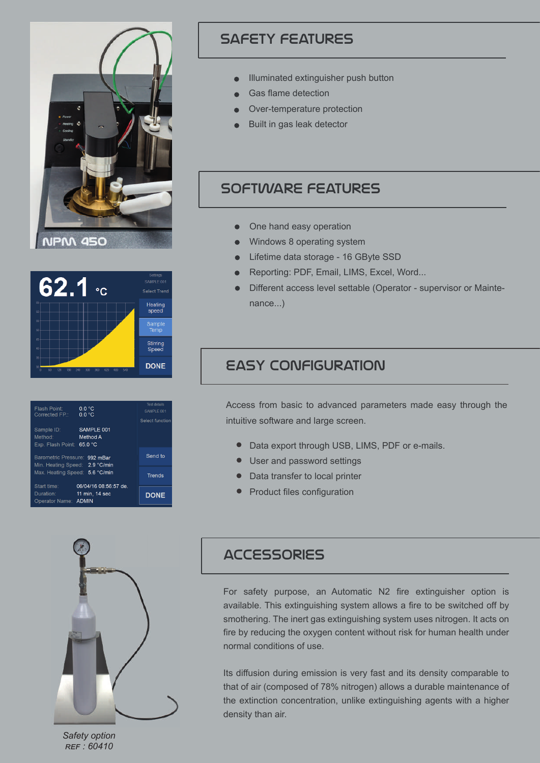



| Flash Point:<br>Corrected FP.:                         | 0.0 °C<br>0.0 °C                       | <b>Test details</b><br>SAMPLE 001<br>Select function |
|--------------------------------------------------------|----------------------------------------|------------------------------------------------------|
| Sample ID:<br>Method:<br>Exp. Flash Point:             | SAMPLE 001<br>Method A<br>65.0 °C      |                                                      |
| Barometric Pressure:<br>Min. Heating Speed: 2.9 °C/min | Send to                                |                                                      |
| Max. Heating Speed:<br>5.6 °C/min                      |                                        | <b>Trends</b>                                        |
| Start time:<br>Duration:<br>Operator Name: ADMIN       | 06/04/16 08:56:57 de<br>11 min, 14 sec | <b>DONE</b>                                          |
|                                                        |                                        |                                                      |



- Illuminated extinguisher push button
- Gas flame detection
- Over-temperature protection
- Built in gas leak detector

#### software features

- One hand easy operation
- Windows 8 operating system
- **Lifetime data storage 16 GByte SSD**
- Reporting: PDF, Email, LIMS, Excel, Word...
- Different access level settable (Operator supervisor or Maintenance...)

#### easy configuration

Access from basic to advanced parameters made easy through the intuitive software and large screen.

- Data export through USB, LIMS, PDF or e-mails.
- User and password settings
- Data transfer to local printer
- **•** Product files configuration



*Safety option REF : 60410*

#### **ACCESSORIES**

For safety purpose, an Automatic N2 fire extinguisher option is available. This extinguishing system allows a fire to be switched off by smothering. The inert gas extinguishing system uses nitrogen. It acts on fire by reducing the oxygen content without risk for human health under normal conditions of use.

Its diffusion during emission is very fast and its density comparable to that of air (composed of 78% nitrogen) allows a durable maintenance of the extinction concentration, unlike extinguishing agents with a higher density than air.